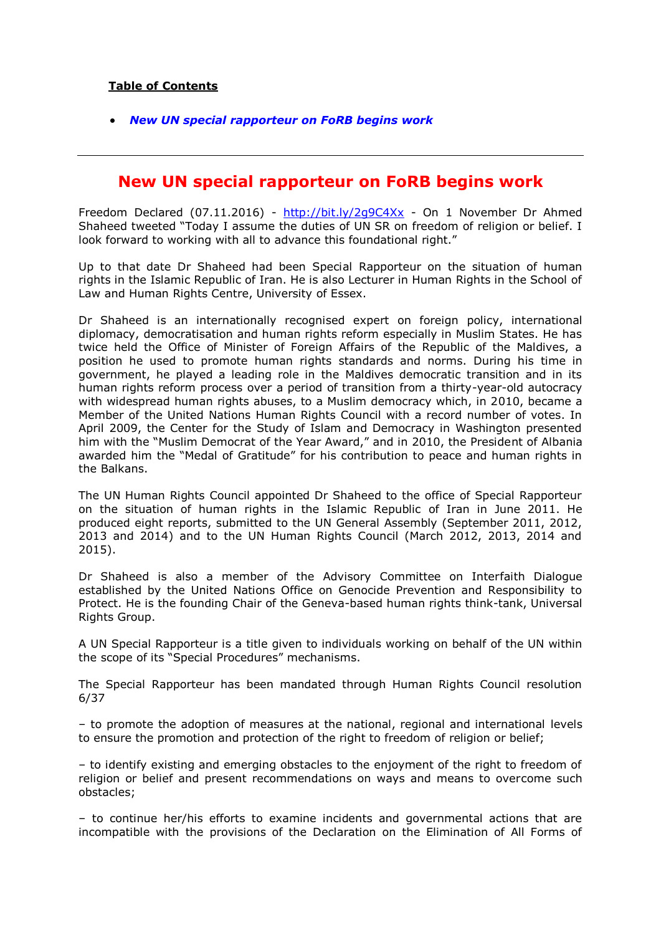## **Table of Contents**

*[New UN special rapporteur on FoRB begins work](#page-0-0)*

## <span id="page-0-0"></span>**New UN special rapporteur on FoRB begins work**

Freedom Declared (07.11.2016) - <http://bit.ly/2g9C4Xx> - On 1 November Dr Ahmed Shaheed tweeted "Today I assume the duties of UN SR on freedom of religion or belief. I look forward to working with all to advance this foundational right."

Up to that date Dr Shaheed had been Special Rapporteur on the situation of human rights in the Islamic Republic of Iran. He is also Lecturer in Human Rights in the School of Law and Human Rights Centre, University of Essex.

Dr Shaheed is an internationally recognised expert on foreign policy, international diplomacy, democratisation and human rights reform especially in Muslim States. He has twice held the Office of Minister of Foreign Affairs of the Republic of the Maldives, a position he used to promote human rights standards and norms. During his time in government, he played a leading role in the Maldives democratic transition and in its human rights reform process over a period of transition from a thirty-year-old autocracy with widespread human rights abuses, to a Muslim democracy which, in 2010, became a Member of the United Nations Human Rights Council with a record number of votes. In April 2009, the Center for the Study of Islam and Democracy in Washington presented him with the "Muslim Democrat of the Year Award," and in 2010, the President of Albania awarded him the "Medal of Gratitude" for his contribution to peace and human rights in the Balkans.

The UN Human Rights Council appointed Dr Shaheed to the office of Special Rapporteur on the situation of human rights in the Islamic Republic of Iran in June 2011. He produced eight reports, submitted to the UN General Assembly (September 2011, 2012, 2013 and 2014) and to the UN Human Rights Council (March 2012, 2013, 2014 and 2015).

Dr Shaheed is also a member of the Advisory Committee on Interfaith Dialogue established by the United Nations Office on Genocide Prevention and Responsibility to Protect. He is the founding Chair of the Geneva-based human rights think-tank, Universal Rights Group.

A UN Special Rapporteur is a title given to individuals working on behalf of the UN within the scope of its "Special Procedures" mechanisms.

The Special Rapporteur has been mandated through Human Rights Council resolution 6/37

– to promote the adoption of measures at the national, regional and international levels to ensure the promotion and protection of the right to freedom of religion or belief;

– to identify existing and emerging obstacles to the enjoyment of the right to freedom of religion or belief and present recommendations on ways and means to overcome such obstacles;

– to continue her/his efforts to examine incidents and governmental actions that are incompatible with the provisions of the Declaration on the Elimination of All Forms of